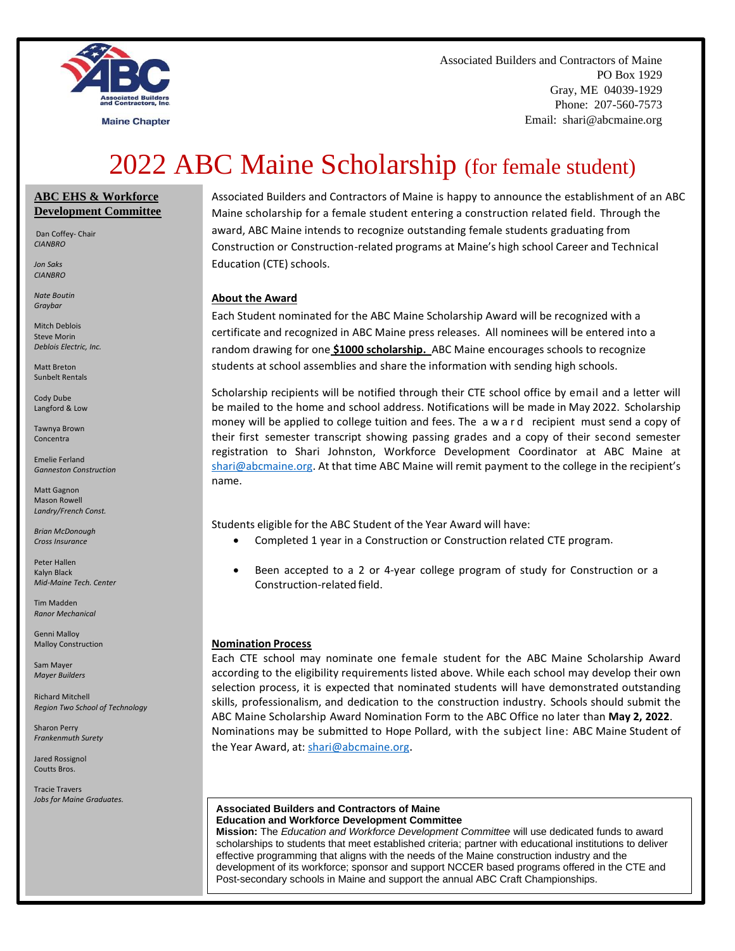

**Maine Chapter** 

Associated Builders and Contractors of Maine PO Box 1929 Gray, ME 04039-1929 Phone: 207-560-7573 Email: shari@abcmaine.org

# 2022 ABC Maine Scholarship (for female student)

### **ABC EHS & Workforce Development Committee**

Dan Coffey- Chair *CIANBRO*

*Jon Saks CIANBRO*

*Nate Boutin Graybar*

Mitch Deblois Steve Morin *Deblois Electric, Inc.*

Matt Breton Sunbelt Rentals

Cody Dube Langford & Low

Tawnya Brown Concentra

Emelie Ferland *Ganneston Construction* 

Matt Gagnon Mason Rowell *Landry/French Const.*

*Brian McDonough Cross Insurance*

Peter Hallen Kalyn Black *Mid-Maine Tech. Center*

Tim Madden *Ranor Mechanical*

Genni Malloy Malloy Construction

Sam Mayer *Mayer Builders*

Richard Mitchell *Region Two School of Technology*

Sharon Perry *Frankenmuth Surety*

Jared Rossignol Coutts Bros.

Tracie Travers *Jobs for Maine Graduates.*

Associated Builders and Contractors of Maine is happy to announce the establishment of an ABC Maine scholarship for a female student entering a construction related field. Through the award, ABC Maine intends to recognize outstanding female students graduating from Construction or Construction-related programs at Maine's high school Career and Technical Education (CTE) schools.

#### **About the Award**

Each Student nominated for the ABC Maine Scholarship Award will be recognized with a certificate and recognized in ABC Maine press releases. All nominees will be entered into a random drawing for one **\$1000 scholarship.** ABC Maine encourages schools to recognize students at school assemblies and share the information with sending high schools.

Scholarship recipients will be notified through their CTE school office by email and a letter will be mailed to the home and school address. Notifications will be made in May 2022. Scholarship money will be applied to college tuition and fees. The a w a r d recipient must send a copy of their first semester transcript showing passing grades and a copy of their second semester registration to Shari Johnston, Workforce Development Coordinator at ABC Maine at [shari@abcmaine.org.](mailto:shari@abcmaine.org) At that time ABC Maine will remit payment to the college in the recipient's name.

Students eligible for the ABC Student of the Year Award will have:

- Completed 1 year in a Construction or Construction related CTE program.
- Been accepted to a 2 or 4-year college program of study for Construction or a Construction-related field.

### **Nomination Process**

Each CTE school may nominate one female student for the ABC Maine Scholarship Award according to the eligibility requirements listed above. While each school may develop their own selection process, it is expected that nominated students will have demonstrated outstanding skills, professionalism, and dedication to the construction industry. Schools should submit the ABC Maine Scholarship Award Nomination Form to the ABC Office no later than **May 2, 2022**. Nominations may be submitted to Hope Pollard, with the subject line: ABC Maine Student of the Year Award, at[: shari@abcmaine.org.](mailto:Hope@abcmaine.org)

#### **Associated Builders and Contractors of Maine Education and Workforce Development Committee**

**Mission:** The *Education and Workforce Development Committee* will use dedicated funds to award scholarships to students that meet established criteria; partner with educational institutions to deliver effective programming that aligns with the needs of the Maine construction industry and the development of its workforce; sponsor and support NCCER based programs offered in the CTE and Post-secondary schools in Maine and support the annual ABC Craft Championships*.*